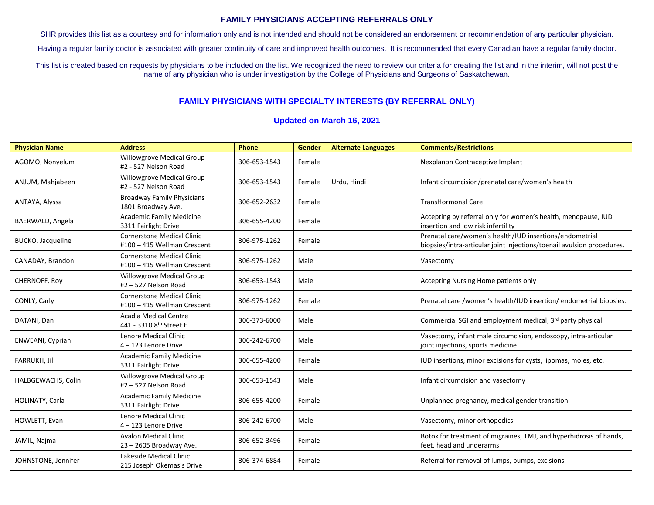## **FAMILY PHYSICIANS ACCEPTING REFERRALS ONLY**

SHR provides this list as a courtesy and for information only and is not intended and should not be considered an endorsement or recommendation of any particular physician.

Having a regular family doctor is associated with greater continuity of care and improved health outcomes. It is recommended that every Canadian have a regular family doctor.

This list is created based on requests by physicians to be included on the list. We recognized the need to review our criteria for creating the list and in the interim, will not post the name of any physician who is under investigation by the College of Physicians and Surgeons of Saskatchewan.

## **FAMILY PHYSICIANS WITH SPECIALTY INTERESTS (BY REFERRAL ONLY)**

## **Updated on March 16, 2021**

| <b>Physician Name</b>    | <b>Address</b>                                                   | Phone        | Gender | <b>Alternate Languages</b> | <b>Comments/Restrictions</b>                                                                                                      |
|--------------------------|------------------------------------------------------------------|--------------|--------|----------------------------|-----------------------------------------------------------------------------------------------------------------------------------|
| AGOMO, Nonyelum          | Willowgrove Medical Group<br>#2 - 527 Nelson Road                | 306-653-1543 | Female |                            | Nexplanon Contraceptive Implant                                                                                                   |
| ANJUM, Mahjabeen         | Willowgrove Medical Group<br>#2 - 527 Nelson Road                | 306-653-1543 | Female | Urdu, Hindi                | Infant circumcision/prenatal care/women's health                                                                                  |
| ANTAYA, Alyssa           | <b>Broadway Family Physicians</b><br>1801 Broadway Ave.          | 306-652-2632 | Female |                            | TransHormonal Care                                                                                                                |
| BAERWALD, Angela         | <b>Academic Family Medicine</b><br>3311 Fairlight Drive          | 306-655-4200 | Female |                            | Accepting by referral only for women's health, menopause, IUD<br>insertion and low risk infertility                               |
| <b>BUCKO, Jacqueline</b> | <b>Cornerstone Medical Clinic</b><br>#100 - 415 Wellman Crescent | 306-975-1262 | Female |                            | Prenatal care/women's health/IUD insertions/endometrial<br>biopsies/intra-articular joint injections/toenail avulsion procedures. |
| CANADAY, Brandon         | <b>Cornerstone Medical Clinic</b><br>#100 - 415 Wellman Crescent | 306-975-1262 | Male   |                            | Vasectomy                                                                                                                         |
| CHERNOFF, Roy            | <b>Willowgrove Medical Group</b><br>#2-527 Nelson Road           | 306-653-1543 | Male   |                            | Accepting Nursing Home patients only                                                                                              |
| CONLY, Carly             | <b>Cornerstone Medical Clinic</b><br>#100 - 415 Wellman Crescent | 306-975-1262 | Female |                            | Prenatal care /women's health/IUD insertion/ endometrial biopsies.                                                                |
| DATANI, Dan              | <b>Acadia Medical Centre</b><br>441 - 3310 8th Street E          | 306-373-6000 | Male   |                            | Commercial SGI and employment medical, 3rd party physical                                                                         |
| ENWEANI, Cyprian         | Lenore Medical Clinic<br>4 - 123 Lenore Drive                    | 306-242-6700 | Male   |                            | Vasectomy, infant male circumcision, endoscopy, intra-articular<br>joint injections, sports medicine                              |
| FARRUKH, Jill            | <b>Academic Family Medicine</b><br>3311 Fairlight Drive          | 306-655-4200 | Female |                            | IUD insertions, minor excisions for cysts, lipomas, moles, etc.                                                                   |
| HALBGEWACHS, Colin       | Willowgrove Medical Group<br>#2 - 527 Nelson Road                | 306-653-1543 | Male   |                            | Infant circumcision and vasectomy                                                                                                 |
| HOLINATY, Carla          | <b>Academic Family Medicine</b><br>3311 Fairlight Drive          | 306-655-4200 | Female |                            | Unplanned pregnancy, medical gender transition                                                                                    |
| HOWLETT, Evan            | <b>Lenore Medical Clinic</b><br>4-123 Lenore Drive               | 306-242-6700 | Male   |                            | Vasectomy, minor orthopedics                                                                                                      |
| JAMIL, Najma             | <b>Avalon Medical Clinic</b><br>23 - 2605 Broadway Ave.          | 306-652-3496 | Female |                            | Botox for treatment of migraines, TMJ, and hyperhidrosis of hands,<br>feet, head and underarms                                    |
| JOHNSTONE, Jennifer      | Lakeside Medical Clinic<br>215 Joseph Okemasis Drive             | 306-374-6884 | Female |                            | Referral for removal of lumps, bumps, excisions.                                                                                  |